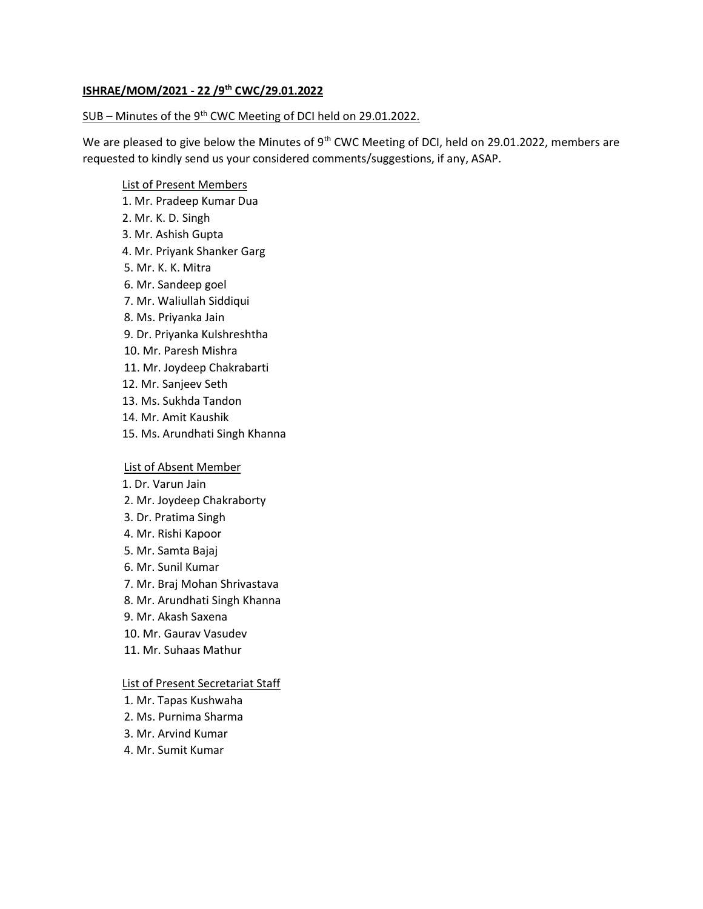### ISHRAE/MOM/2021 - 22 /9th CWC/29.01.2022

### SUB – Minutes of the 9<sup>th</sup> CWC Meeting of DCI held on 29.01.2022.

We are pleased to give below the Minutes of 9<sup>th</sup> CWC Meeting of DCI, held on 29.01.2022, members are requested to kindly send us your considered comments/suggestions, if any, ASAP.

### List of Present Members

- 1. Mr. Pradeep Kumar Dua
- 2. Mr. K. D. Singh
- 3. Mr. Ashish Gupta
- 4. Mr. Priyank Shanker Garg
- 5. Mr. K. K. Mitra
- 6. Mr. Sandeep goel
- 7. Mr. Waliullah Siddiqui
- 8. Ms. Priyanka Jain
- 9. Dr. Priyanka Kulshreshtha
- 10. Mr. Paresh Mishra
- 11. Mr. Joydeep Chakrabarti
- 12. Mr. Sanjeev Seth
- 13. Ms. Sukhda Tandon
- 14. Mr. Amit Kaushik
- 15. Ms. Arundhati Singh Khanna

# List of Absent Member

- 1. Dr. Varun Jain
- 2. Mr. Joydeep Chakraborty
- 3. Dr. Pratima Singh
- 4. Mr. Rishi Kapoor
- 5. Mr. Samta Bajaj
- 6. Mr. Sunil Kumar
- 7. Mr. Braj Mohan Shrivastava
- 8. Mr. Arundhati Singh Khanna
- 9. Mr. Akash Saxena
- 10. Mr. Gaurav Vasudev
- 11. Mr. Suhaas Mathur

## List of Present Secretariat Staff

- 1. Mr. Tapas Kushwaha
- 2. Ms. Purnima Sharma
- 3. Mr. Arvind Kumar
- 4. Mr. Sumit Kumar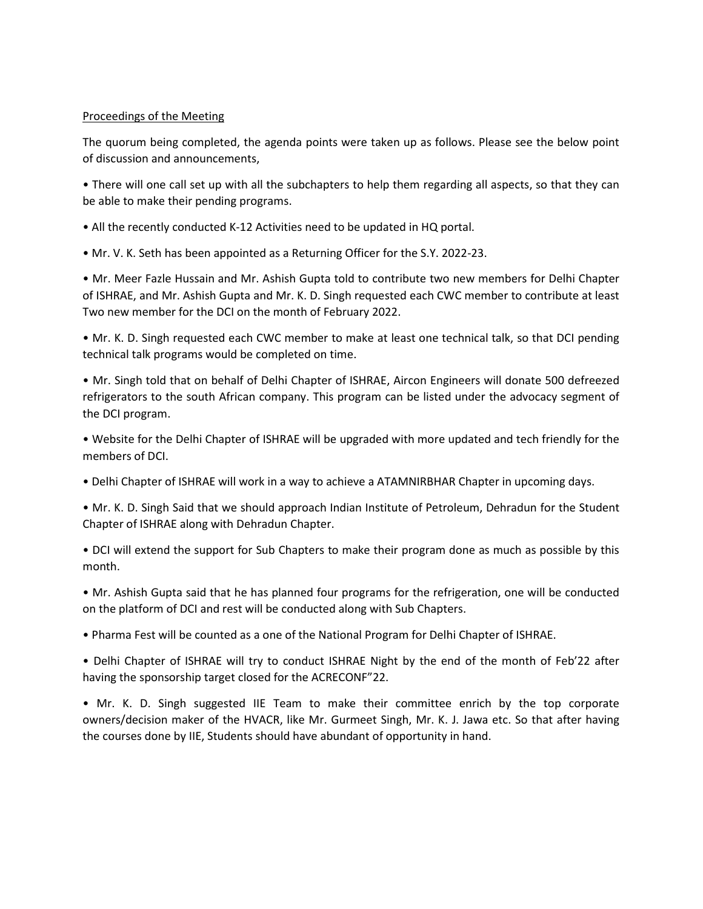# Proceedings of the Meeting

The quorum being completed, the agenda points were taken up as follows. Please see the below point of discussion and announcements,

• There will one call set up with all the subchapters to help them regarding all aspects, so that they can be able to make their pending programs.

- All the recently conducted K-12 Activities need to be updated in HQ portal.
- Mr. V. K. Seth has been appointed as a Returning Officer for the S.Y. 2022-23.

• Mr. Meer Fazle Hussain and Mr. Ashish Gupta told to contribute two new members for Delhi Chapter of ISHRAE, and Mr. Ashish Gupta and Mr. K. D. Singh requested each CWC member to contribute at least Two new member for the DCI on the month of February 2022.

• Mr. K. D. Singh requested each CWC member to make at least one technical talk, so that DCI pending technical talk programs would be completed on time.

• Mr. Singh told that on behalf of Delhi Chapter of ISHRAE, Aircon Engineers will donate 500 defreezed refrigerators to the south African company. This program can be listed under the advocacy segment of the DCI program.

• Website for the Delhi Chapter of ISHRAE will be upgraded with more updated and tech friendly for the members of DCI.

• Delhi Chapter of ISHRAE will work in a way to achieve a ATAMNIRBHAR Chapter in upcoming days.

• Mr. K. D. Singh Said that we should approach Indian Institute of Petroleum, Dehradun for the Student Chapter of ISHRAE along with Dehradun Chapter.

• DCI will extend the support for Sub Chapters to make their program done as much as possible by this month.

• Mr. Ashish Gupta said that he has planned four programs for the refrigeration, one will be conducted on the platform of DCI and rest will be conducted along with Sub Chapters.

• Pharma Fest will be counted as a one of the National Program for Delhi Chapter of ISHRAE.

• Delhi Chapter of ISHRAE will try to conduct ISHRAE Night by the end of the month of Feb'22 after having the sponsorship target closed for the ACRECONF"22.

• Mr. K. D. Singh suggested IIE Team to make their committee enrich by the top corporate owners/decision maker of the HVACR, like Mr. Gurmeet Singh, Mr. K. J. Jawa etc. So that after having the courses done by IIE, Students should have abundant of opportunity in hand.